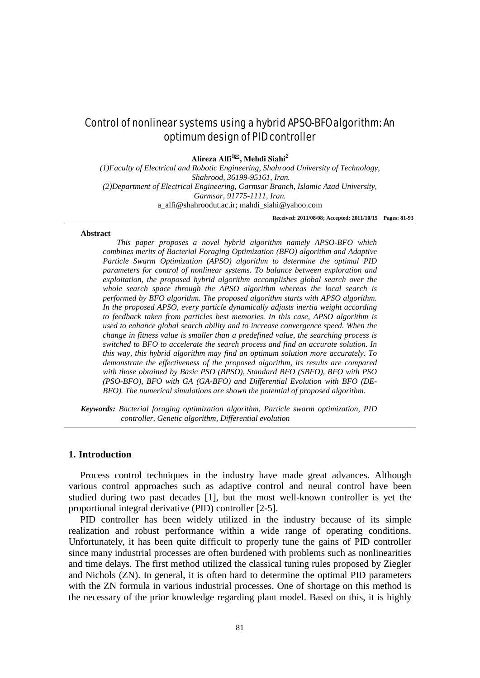# Control of nonlinear systems using a hybrid APSO-BFO algorithm: An optimum design of PID controller

**Alireza Alfi1, Mehdi Siahi2**

*(1)Faculty of Electrical and Robotic Engineering, Shahrood University of Technology, Shahrood, 36199-95161, Iran. (2)Department of Electrical Engineering, Garmsar Branch, Islamic Azad University, Garmsar, 91775-1111, Iran.* [a\\_alfi@shahroodut.ac.ir;](mailto:_alfi@shahroodut.ac.ir) mahdi\_siahi@yahoo.com

**Received: 2011/08/08; Accepted: 2011/10/15 Pages: 81-93**

#### **Abstract**

*This paper proposes a novel hybrid algorithm namely APSO-BFO which combines merits of Bacterial Foraging Optimization (BFO) algorithm and Adaptive Particle Swarm Optimization (APSO) algorithm to determine the optimal PID parameters for control of nonlinear systems. To balance between exploration and exploitation, the proposed hybrid algorithm accomplishes global search over the whole search space through the APSO algorithm whereas the local search is performed by BFO algorithm. The proposed algorithm starts with APSO algorithm. In the proposed APSO, every particle dynamically adjusts inertia weight according to feedback taken from particles best memories. In this case, APSO algorithm is used to enhance global search ability and to increase convergence speed. When the change in fitness value is smaller than a predefined value, the searching process is switched to BFO to accelerate the search process and find an accurate solution. In this way, this hybrid algorithm may find an optimum solution more accurately. To demonstrate the effectiveness of the proposed algorithm, its results are compared with those obtained by Basic PSO (BPSO), Standard BFO (SBFO), BFO with PSO (PSO-BFO), BFO with GA (GA-BFO) and Differential Evolution with BFO (DE-BFO). The numerical simulations are shown the potential of proposed algorithm.*

*Keywords: Bacterial foraging optimization algorithm, Particle swarm optimization, PID controller, Genetic algorithm, Differential evolution*

## **1. Introduction**

Process control techniques in the industry have made great advances. Although various control approaches such as adaptive control and neural control have been studied during two past decades [1], but the most well-known controller is yet the proportional integral derivative (PID) controller [2-5].

PID controller has been widely utilized in the industry because of its simple realization and robust performance within a wide range of operating conditions. Unfortunately, it has been quite difficult to properly tune the gains of PID controller since many industrial processes are often burdened with problems such as nonlinearities and time delays. The first method utilized the classical tuning rules proposed by Ziegler and Nichols (ZN). In general, it is often hard to determine the optimal PID parameters with the ZN formula in various industrial processes. One of shortage on this method is the necessary of the prior knowledge regarding plant model. Based on this, it is highly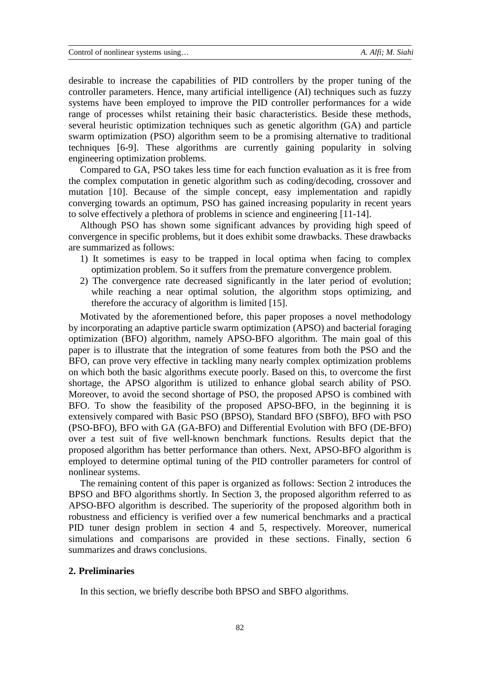desirable to increase the capabilities of PID controllers by the proper tuning of the controller parameters. Hence, many artificial intelligence (AI) techniques such as fuzzy systems have been employed to improve the PID controller performances for a wide range of processes whilst retaining their basic characteristics. Beside these methods, several heuristic optimization techniques such as genetic algorithm (GA) and particle swarm optimization (PSO) algorithm seem to be a promising alternative to traditional techniques [6-9]. These algorithms are currently gaining popularity in solving engineering optimization problems.

Compared to GA, PSO takes less time for each function evaluation as it is free from the complex computation in genetic algorithm such as coding/decoding, crossover and mutation [10]. Because of the simple concept, easy implementation and rapidly converging towards an optimum, PSO has gained increasing popularity in recent years to solve effectively a plethora of problems in science and engineering [11-14].

Although PSO has shown some significant advances by providing high speed of convergence in specific problems, but it does exhibit some drawbacks. These drawbacks are summarized as follows:

- 1) It sometimes is easy to be trapped in local optima when facing to complex optimization problem. So it suffers from the premature convergence problem.
- 2) The convergence rate decreased significantly in the later period of evolution; while reaching a near optimal solution, the algorithm stops optimizing, and therefore the accuracy of algorithm is limited [15].

Motivated by the aforementioned before, this paper proposes a novel methodology by incorporating an adaptive particle swarm optimization (APSO) and bacterial foraging optimization (BFO) algorithm, namely APSO-BFO algorithm. The main goal of this paper is to illustrate that the integration of some features from both the PSO and the BFO, can prove very effective in tackling many nearly complex optimization problems on which both the basic algorithms execute poorly. Based on this, to overcome the first shortage, the APSO algorithm is utilized to enhance global search ability of PSO. Moreover, to avoid the second shortage of PSO, the proposed APSO is combined with BFO. To show the feasibility of the proposed APSO-BFO, in the beginning it is extensively compared with Basic PSO (BPSO), Standard BFO (SBFO), BFO with PSO (PSO-BFO), BFO with GA (GA-BFO) and Differential Evolution with BFO (DE-BFO) over a test suit of five well-known benchmark functions. Results depict that the proposed algorithm has better performance than others. Next, APSO-BFO algorithm is employed to determine optimal tuning of the PID controller parameters for control of nonlinear systems.

The remaining content of this paper is organized as follows: Section 2 introduces the BPSO and BFO algorithms shortly. In Section 3, the proposed algorithm referred to as APSO-BFO algorithm is described. The superiority of the proposed algorithm both in robustness and efficiency is verified over a few numerical benchmarks and a practical PID tuner design problem in section 4 and 5, respectively. Moreover, numerical simulations and comparisons are provided in these sections. Finally, section 6 summarizes and draws conclusions.

## **2. Preliminaries**

In this section, we briefly describe both BPSO and SBFO algorithms.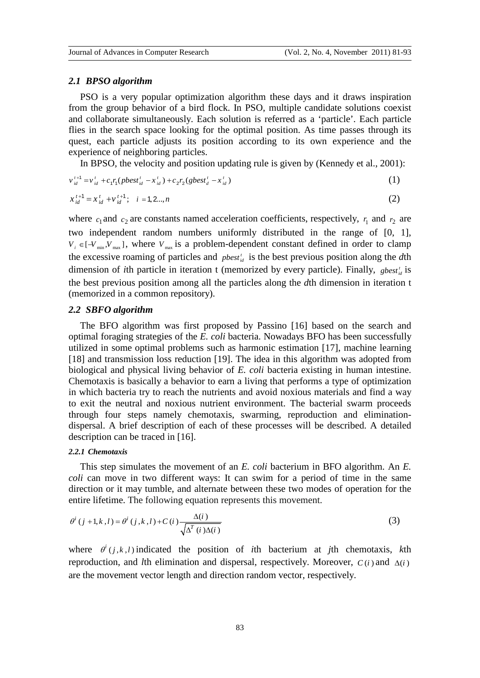#### *2.1 BPSO algorithm*

PSO is a very popular optimization algorithm these days and it draws inspiration from the group behavior of a bird flock. In PSO, multiple candidate solutions coexist and collaborate simultaneously. Each solution is referred as a 'particle'. Each particle flies in the search space looking for the optimal position. As time passes through its quest, each particle adjusts its position according to its own experience and the experience of neighboring particles.

In BPSO, the velocity and position updating rule is given by (Kennedy et al., 2001):

$$
v_{id}^{t+1} = v_{id}^t + c_1 r_1 (pbest_{id}^t - x_{id}^t) + c_2 r_2 (sbest_d^t - x_{id}^t)
$$
\n(1)

$$
x_{id}^{t+1} = x_{id}^t + v_{id}^{t+1}; \quad i = 1, 2..., n
$$
 (2)

where  $c_1$  and  $c_2$  are constants named acceleration coefficients, respectively,  $r_1$  and  $r_2$  are two independent random numbers uniformly distributed in the range of [0, 1],  $V_i \in [-V_{min}, V_{max}]$ , where  $V_{max}$  is a problem-dependent constant defined in order to clamp the excessive roaming of particles and  $pbest_{id}$  is the best previous position along the *d*th dimension of *i*th particle in iteration t (memorized by every particle). Finally, *gbest*<sup>*i*</sup><sub>*id*</sub> is the best previous position among all the particles along the *d*th dimension in iteration t (memorized in a common repository).

#### *2.2 SBFO algorithm*

The BFO algorithm was first proposed by Passino [16] based on the search and optimal foraging strategies of the *E. coli* bacteria. Nowadays BFO has been successfully utilized in some optimal problems such as harmonic estimation [17], machine learning [18] and transmission loss reduction [19]. The idea in this algorithm was adopted from biological and physical living behavior of *E. coli* bacteria existing in human intestine. Chemotaxis is basically a behavior to earn a living that performs a type of optimization in which bacteria try to reach the nutrients and avoid noxious materials and find a way to exit the neutral and noxious nutrient environment. The bacterial swarm proceeds through four steps namely chemotaxis, swarming, reproduction and eliminationdispersal. A brief description of each of these processes will be described. A detailed description can be traced in [16].

#### *2.2.1 Chemotaxis*

This step simulates the movement of an *E. coli* bacterium in BFO algorithm. An *E. coli* can move in two different ways: It can swim for a period of time in the same direction or it may tumble, and alternate between these two modes of operation for the entire lifetime. The following equation represents this movement.

$$
\theta^{i} (j+1, k, l) = \theta^{i} (j, k, l) + C(i) \frac{\Delta(i)}{\sqrt{\Delta^{T}(i)\Delta(i)}}
$$
\n(3)

where  $\theta^{i}$  (*j*, *k*, *l*) indicated the position of *i*th bacterium at *j*th chemotaxis, *k*th reproduction, and *l*th elimination and dispersal, respectively. Moreover,  $C(i)$  and  $\Delta(i)$ are the movement vector length and direction random vector, respectively.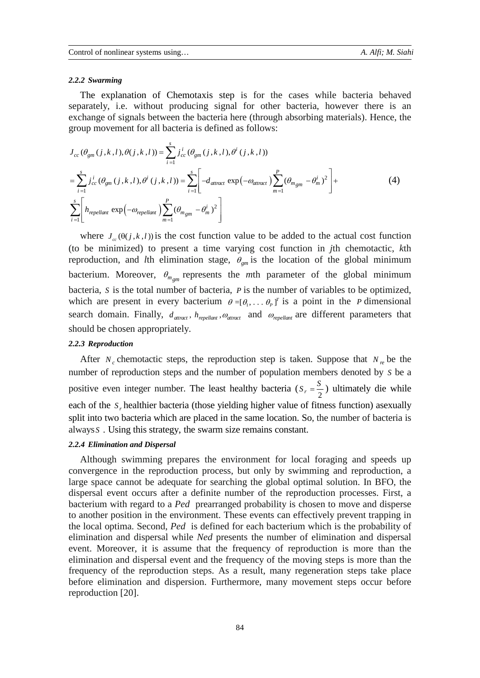#### *2.2.2 Swarming*

The explanation of Chemotaxis step is for the cases while bacteria behaved separately, i.e. without producing signal for other bacteria, however there is an exchange of signals between the bacteria here (through absorbing materials). Hence, the group movement for all bacteria is defined as follows:

$$
J_{cc}(\theta_{gm}(j,k,l),\theta(j,k,l)) = \sum_{i=1}^{s} j_{cc}^{i}(\theta_{gm}(j,k,l),\theta^{i}(j,k,l))
$$
  
\n
$$
= \sum_{i=1}^{s} j_{cc}^{i}(\theta_{gm}(j,k,l),\theta^{i}(j,k,l)) = \sum_{i=1}^{s} \left[ -d_{attract} \exp(-\omega_{attract}) \sum_{m=1}^{P} (\theta_{m_{gm}} - \theta_{m}^{i})^{2} \right] +
$$
  
\n
$$
\sum_{i=1}^{s} \left[ h_{repellant} \exp(-\omega_{repellant}) \sum_{m=1}^{P} (\theta_{m_{gm}} - \theta_{m}^{i})^{2} \right]
$$
\n(4)

where  $J_{\alpha}(\theta(j, k, l))$  is the cost function value to be added to the actual cost function (to be minimized) to present a time varying cost function in *j*th chemotactic, *k*th reproduction, and *l*th elimination stage,  $\theta_{gm}$  is the location of the global minimum bacterium. Moreover,  $\theta_{m_{gm}}$  represents the *m*th parameter of the global minimum bacteria, *S* is the total number of bacteria, *P* is the number of variables to be optimized, which are present in every bacterium  $\theta = [\theta_1, \dots, \theta_p]^T$  is a point in the *P* dimensional search domain. Finally,  $d_{attract}$ ,  $h_{repellant}$ ,  $\omega_{attract}$  and  $\omega_{repellant}$  are different parameters that should be chosen appropriately.

#### *2.2.3 Reproduction*

After  $N_c$  chemotactic steps, the reproduction step is taken. Suppose that  $N_c$  be the number of reproduction steps and the number of population members denoted by *S* be a positive even integer number. The least healthy bacteria ( $S_r = \frac{S}{2}$ ) ultimately die while each of the *S<sub>r</sub>* healthier bacteria (those yielding higher value of fitness function) asexually split into two bacteria which are placed in the same location. So, the number of bacteria is always *S* . Using this strategy, the swarm size remains constant.

#### *2.2.4 Elimination and Dispersal*

Although swimming prepares the environment for local foraging and speeds up convergence in the reproduction process, but only by swimming and reproduction, a large space cannot be adequate for searching the global optimal solution. In BFO, the dispersal event occurs after a definite number of the reproduction processes. First, a bacterium with regard to a *Ped* prearranged probability is chosen to move and disperse to another position in the environment. These events can effectively prevent trapping in the local optima. Second, *Ped* is defined for each bacterium which is the probability of elimination and dispersal while *Ned* presents the number of elimination and dispersal event. Moreover, it is assume that the frequency of reproduction is more than the elimination and dispersal event and the frequency of the moving steps is more than the frequency of the reproduction steps. As a result, many regeneration steps take place before elimination and dispersion. Furthermore, many movement steps occur before reproduction [20].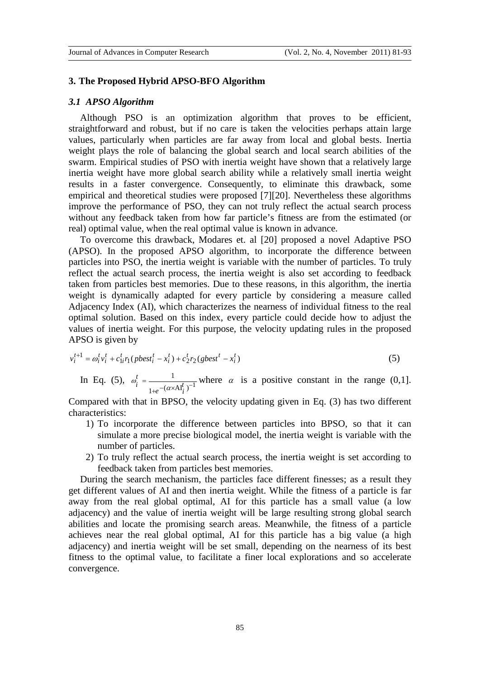#### **3. The Proposed Hybrid APSO-BFO Algorithm**

## *3.1 APSO Algorithm*

Although PSO is an optimization algorithm that proves to be efficient, straightforward and robust, but if no care is taken the velocities perhaps attain large values, particularly when particles are far away from local and global bests. Inertia weight plays the role of balancing the global search and local search abilities of the swarm. Empirical studies of PSO with inertia weight have shown that a relatively large inertia weight have more global search ability while a relatively small inertia weight results in a faster convergence. Consequently, to eliminate this drawback, some empirical and theoretical studies were proposed [7][20]. Nevertheless these algorithms improve the performance of PSO, they can not truly reflect the actual search process without any feedback taken from how far particle's fitness are from the estimated (or real) optimal value, when the real optimal value is known in advance.

To overcome this drawback, Modares et. al [20] proposed a novel Adaptive PSO (APSO). In the proposed APSO algorithm, to incorporate the difference between particles into PSO, the inertia weight is variable with the number of particles. To truly reflect the actual search process, the inertia weight is also set according to feedback taken from particles best memories. Due to these reasons, in this algorithm, the inertia weight is dynamically adapted for every particle by considering a measure called Adjacency Index (AI), which characterizes the nearness of individual fitness to the real optimal solution. Based on this index, every particle could decide how to adjust the values of inertia weight. For this purpose, the velocity updating rules in the proposed APSO is given by

$$
v_i^{t+1} = \omega_i^t v_i^t + c_{1i}^t r_1 (pbest_i^t - x_i^t) + c_2^t r_2 (gbest^t - x_i^t)
$$
\n(5)

In Eq. (5),  $\omega_i^t = \frac{1}{\sqrt{(\alpha \times \Delta I)^2 - 1}}$  $1 + e^{- (\alpha \times \text{AI}^l_i)}$ *t*  $\omega_i^t = \frac{1}{1 + e^{-(\alpha \times A I_i^t)^{-1}}}$  where  $\alpha$  is a positive constant in the range (0,1].

Compared with that in BPSO, the velocity updating given in Eq. (3) has two different characteristics:

- 1) To incorporate the difference between particles into BPSO, so that it can simulate a more precise biological model, the inertia weight is variable with the number of particles.
- 2) To truly reflect the actual search process, the inertia weight is set according to feedback taken from particles best memories.

During the search mechanism, the particles face different finesses; as a result they get different values of AI and then inertia weight. While the fitness of a particle is far away from the real global optimal, AI for this particle has a small value (a low adjacency) and the value of inertia weight will be large resulting strong global search abilities and locate the promising search areas. Meanwhile, the fitness of a particle achieves near the real global optimal, AI for this particle has a big value (a high adjacency) and inertia weight will be set small, depending on the nearness of its best fitness to the optimal value, to facilitate a finer local explorations and so accelerate convergence.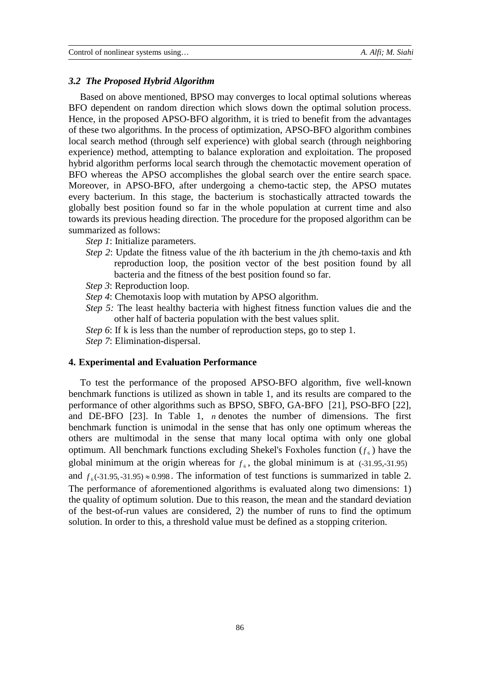#### *3.2 The Proposed Hybrid Algorithm*

Based on above mentioned, BPSO may converges to local optimal solutions whereas BFO dependent on random direction which slows down the optimal solution process. Hence, in the proposed APSO-BFO algorithm, it is tried to benefit from the advantages of these two algorithms. In the process of optimization, APSO-BFO algorithm combines local search method (through self experience) with global search (through neighboring experience) method, attempting to balance exploration and exploitation. The proposed hybrid algorithm performs local search through the chemotactic movement operation of BFO whereas the APSO accomplishes the global search over the entire search space. Moreover, in APSO-BFO, after undergoing a chemo-tactic step, the APSO mutates every bacterium. In this stage, the bacterium is stochastically attracted towards the globally best position found so far in the whole population at current time and also towards its previous heading direction. The procedure for the proposed algorithm can be summarized as follows:

*Step 1*: Initialize parameters.

- *Step 2*: Update the fitness value of the *i*th bacterium in the *j*th chemo-taxis and *k*th reproduction loop, the position vector of the best position found by all bacteria and the fitness of the best position found so far.
- *Step 3*: Reproduction loop.
- *Step 4*: Chemotaxis loop with mutation by APSO algorithm.
- *Step 5:* The least healthy bacteria with highest fitness function values die and the other half of bacteria population with the best values split.
- *Step 6*: If k is less than the number of reproduction steps, go to step 1.

*Step 7*: Elimination-dispersal.

#### **4. Experimental and Evaluation Performance**

To test the performance of the proposed APSO-BFO algorithm, five well-known benchmark functions is utilized as shown in table 1, and its results are compared to the performance of other algorithms such as BPSO, SBFO, GA-BFO [21], PSO-BFO [22], and DE-BFO [23]. In Table 1, *n* denotes the number of dimensions. The first benchmark function is unimodal in the sense that has only one optimum whereas the others are multimodal in the sense that many local optima with only one global optimum. All benchmark functions excluding Shekel's Foxholes function  $(f_{\epsilon})$  have the global minimum at the origin whereas for  $f<sub>6</sub>$ , the global minimum is at (-31.95,-31.95) and  $f_6$ (-31.95,-31.95)  $\approx$  0.998. The information of test functions is summarized in table 2. The performance of aforementioned algorithms is evaluated along two dimensions: 1) the quality of optimum solution. Due to this reason, the mean and the standard deviation of the best-of-run values are considered, 2) the number of runs to find the optimum solution. In order to this, a threshold value must be defined as a stopping criterion.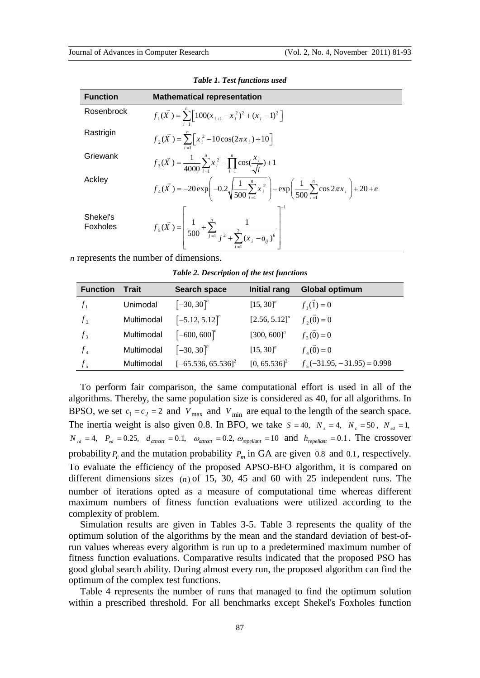| <b>Function</b>      | <b>Mathematical representation</b>                                                                                                                            |
|----------------------|---------------------------------------------------------------------------------------------------------------------------------------------------------------|
| Rosenbrock           | $f_1(\vec{X}) = \sum \left[ 100(x_{i+1} - x_i^2)^2 + (x_i - 1)^2 \right]$                                                                                     |
| Rastrigin            | $f_2(\vec{X}) = \sum_{i=1}^{n} \left[ x_i^2 - 10\cos(2\pi x_i) + 10 \right]$                                                                                  |
| Griewank             | $f_3(\vec{X}) = \frac{1}{4000} \sum_{i=1}^{n} x_i^2 - \prod_{i=1}^{n} \cos(\frac{x_i}{\sqrt{i}}) + 1$                                                         |
| Ackley               | $f_4(\vec{X}) = -20 \exp \left(-0.2 \sqrt{\frac{1}{500} \sum_{i=1}^{n} x_i^2}\right) - \exp \left(\frac{1}{500} \sum_{i=1}^{n} \cos 2\pi x_i\right) + 20 + e$ |
| Shekel's<br>Foxholes | $f_5(\vec{X}) = \left  \frac{1}{500} + \sum_{j=1}^n \frac{1}{j^2 + \sum_{i=1}^2 (x_i - a_{ij})^6} \right $                                                    |

|  |  | <b>Table 1. Test functions used</b> |  |
|--|--|-------------------------------------|--|
|--|--|-------------------------------------|--|

*n* represents the number of dimensions.

*Table 2. Description of the test functions* 

| <b>Function</b> | <b>Trait</b> | Search space                 | <b>Initial rang</b>         | <b>Global optimum</b>         |
|-----------------|--------------|------------------------------|-----------------------------|-------------------------------|
| $f_{1}$         | Unimodal     | $[-30, 30]^{n}$              | $[15, 30]^{n}$              | $f_1(1) = 0$                  |
| f <sub>2</sub>  | Multimodal   | $[-5.12, 5.12]$ <sup>n</sup> | $[2.56, 5.12]$ <sup>n</sup> | $f_2(\vec{0})=0$              |
| $f_3$           | Multimodal   | $[-600, 600]$ <sup>n</sup>   | $[300, 600]$ <sup>n</sup>   | $f_3(\vec{0})=0$              |
| $f_4$           | Multimodal   | $[-30, 30]$ <sup>n</sup>     | $[15, 30]^{n}$              | $f_4(\vec{0})=0$              |
| f <sub>5</sub>  | Multimodal   | $[-65.536, 65.536]^2$        | $[0, 65.536]^{2}$           | $f_5(-31.95, -31.95) = 0.998$ |

To perform fair comparison, the same computational effort is used in all of the algorithms. Thereby, the same population size is considered as 40, for all algorithms. In BPSO, we set  $c_1 = c_2 = 2$  and  $V_{\text{max}}$  and  $V_{\text{min}}$  are equal to the length of the search space. The inertia weight is also given 0.8. In BFO, we take  $S = 40$ ,  $N_s = 4$ ,  $N_e = 50$ ,  $N_{ed} = 1$ ,  $N_{rd} = 4$ ,  $P_{ed} = 0.25$ ,  $d_{attract} = 0.1$ ,  $\omega_{attract} = 0.2$ ,  $\omega_{repellant} = 10$  and  $h_{repellant} = 0.1$ . The crossover probability  $P_c$  and the mutation probability  $P_m$  in GA are given 0.8 and 0.1, respectively. To evaluate the efficiency of the proposed APSO-BFO algorithm, it is compared on different dimensions sizes  $(n)$  of 15, 30, 45 and 60 with 25 independent runs. The number of iterations opted as a measure of computational time whereas different maximum numbers of fitness function evaluations were utilized according to the complexity of problem.

Simulation results are given in Tables 3-5. Table 3 represents the quality of the optimum solution of the algorithms by the mean and the standard deviation of best-ofrun values whereas every algorithm is run up to a predetermined maximum number of fitness function evaluations. Comparative results indicated that the proposed PSO has good global search ability. During almost every run, the proposed algorithm can find the optimum of the complex test functions.

Table 4 represents the number of runs that managed to find the optimum solution within a prescribed threshold. For all benchmarks except Shekel's Foxholes function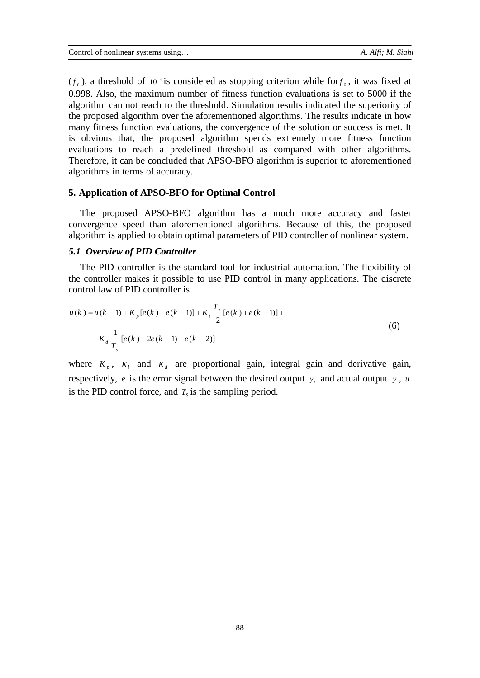$(f_6)$ , a threshold of 10<sup>-4</sup> is considered as stopping criterion while for  $f_6$ , it was fixed at 0.998. Also, the maximum number of fitness function evaluations is set to 5000 if the algorithm can not reach to the threshold. Simulation results indicated the superiority of the proposed algorithm over the aforementioned algorithms. The results indicate in how many fitness function evaluations, the convergence of the solution or success is met. It is obvious that, the proposed algorithm spends extremely more fitness function evaluations to reach a predefined threshold as compared with other algorithms. Therefore, it can be concluded that APSO-BFO algorithm is superior to aforementioned algorithms in terms of accuracy.

## **5. Application of APSO-BFO for Optimal Control**

The proposed APSO-BFO algorithm has a much more accuracy and faster convergence speed than aforementioned algorithms. Because of this, the proposed algorithm is applied to obtain optimal parameters of PID controller of nonlinear system.

## *5.1 Overview of PID Controller*

The PID controller is the standard tool for industrial automation. The flexibility of the controller makes it possible to use PID control in many applications. The discrete control law of PID controller is

$$
u(k) = u(k-1) + K_p[e(k) - e(k-1)] + K_i \frac{T_s}{2} [e(k) + e(k-1)] + K_d \frac{1}{T_s} [e(k) - 2e(k-1) + e(k-2)]
$$
\n
$$
(6)
$$

where  $K_p$ ,  $K_i$  and  $K_d$  are proportional gain, integral gain and derivative gain, respectively, *e* is the error signal between the desired output  $y_r$  and actual output  $y$ , *u* is the PID control force, and  $T<sub>s</sub>$  is the sampling period.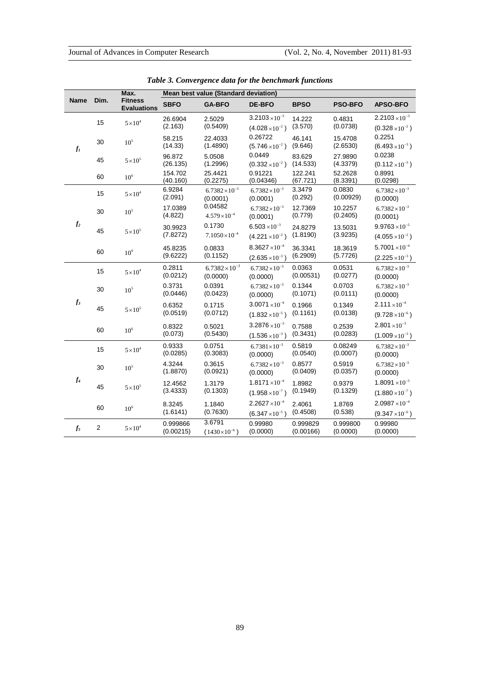| <b>Name</b><br>Dim.          |                 | Max.<br><b>Fitness</b><br><b>Evaluations</b> | Mean best value (Standard deviation) |                                                    |                                                     |                       |                                                   |                                                              |
|------------------------------|-----------------|----------------------------------------------|--------------------------------------|----------------------------------------------------|-----------------------------------------------------|-----------------------|---------------------------------------------------|--------------------------------------------------------------|
|                              |                 |                                              | <b>SBFO</b>                          | <b>GA-BFO</b>                                      | <b>DE-BFO</b>                                       | <b>BPSO</b>           | <b>PSO-BFO</b>                                    | <b>APSO-BFO</b>                                              |
|                              | 15              | $5 \times 10^4$                              | 26.6904<br>(2.163)                   | 2.5029<br>(0.5409)                                 | $3.2103 \times 10^{-3}$<br>$(4.028\times10^{-2})$   | 14.222<br>(3.570)     | 0.4831<br>(0.0738)                                | $2.2103 \times 10^{-3}$<br>$(0.328\times10^{-2})$            |
| $f_i$                        | 30              | $10^5\,$                                     | 58.215<br>(14.33)                    | 22.4033<br>(1.4890)                                | 0.26722<br>$(5.746 \times 10^{-2})$                 | 46.141<br>(9.646)     | 15.4708<br>(2.6530)                               | 0.2251<br>$(6.493 \times 10^{-3})$                           |
|                              | 45              | $5\times10^5$                                | 96.872<br>(26.135)                   | 5.0508<br>(1.2996)                                 | 0.0449<br>$(0.332\times10^{-2})$                    | 83.629<br>(14.533)    | 27.9890<br>(4.3379)                               | 0.0238<br>$(0.112\times10^{-3})$                             |
|                              | 60              | 10 <sup>6</sup>                              | 154.702<br>(40.160)                  | 25.4421<br>(0.2275)                                | 0.91221<br>(0.04346)                                | 122.241<br>(67.721)   | 52.2628<br>(8.3391)                               | 0.8991<br>(0.0298)                                           |
|                              | 15              | $5 \times 10^4$                              | 6.9284<br>(2.091)                    | $6.7382\times10^{-3}$<br>(0.0001)                  | $6.7382\times10^{-3}$<br>(0.0001)                   | 3.3479<br>(0.292)     | 0.0830<br>(0.00929)                               | $6.7382\times10^{-3}$<br>(0.0000)                            |
|                              | 30              | 10 <sup>5</sup>                              | 17.0389<br>(4.822)                   | 0.04582<br>$4.579\times10^{-4}$                    | $6.7382\times10^{-3}$<br>(0.0001)                   | 12.7369<br>(0.779)    | 10.2257<br>(0.2405)                               | $6.7382\times10^{-3}$<br>(0.0001)                            |
| $\mathfrak{f}_2$<br>45<br>60 | $5\times10^{5}$ | 30.9923<br>(7.8272)                          | 0.1730<br>$7.1050\times10^{-4}$      | $6.503 \times 10^{-3}$<br>$(4.221 \times 10^{-2})$ | 24.8279<br>(1.8190)                                 | 13.5031<br>(3.9235)   | $9.9763 \times 10^{-5}$<br>$(4.055\times10^{-2})$ |                                                              |
|                              |                 | $10^6$                                       | 45.8235<br>(9.6222)                  | 0.0833<br>(0.1152)                                 | $8.3627 \times 10^{-4}$<br>$(2.635 \times 10^{-3})$ | 36.3341<br>(6.2909)   | 18.3619<br>(5.7726)                               | 5.7001 $\times$ 10 <sup>-4</sup><br>$(2.225 \times 10^{-3})$ |
|                              | 15              | $5\times10^4$                                | 0.2811<br>(0.0212)                   | $6.7382\times10^{-3}$<br>(0.0000)                  | $6.7382\times10^{-3}$<br>(0.0000)                   | 0.0363<br>(0.00531)   | 0.0531<br>(0.0277)                                | $6.7382\times10^{-3}$<br>(0.0000)                            |
|                              | 30              | $10^5\,$                                     | 0.3731<br>(0.0446)                   | 0.0391<br>(0.0423)                                 | $6.7382\times10^{-3}$<br>(0.0000)                   | 0.1344<br>(0.1071)    | 0.0703<br>(0.0111)                                | $6.7382\times10^{-3}$<br>(0.0000)                            |
| $f_3$                        | 45              | $5 \times 10^5$                              | 0.6352<br>(0.0519)                   | 0.1715<br>(0.0712)                                 | $3.0071 \times 10^{-4}$<br>$(1.832 \times 10^{-5})$ | 0.1966<br>(0.1161)    | 0.1349<br>(0.0138)                                | $2.111 \times 10^{-4}$<br>$(9.728\times10^{-6})$             |
|                              | 60              | $10^6$                                       | 0.8322<br>(0.073)                    | 0.5021<br>(0.5430)                                 | $3.2876 \times 10^{-3}$<br>$(1.536 \times 10^{-3})$ | 0.7588<br>(0.3431)    | 0.2539<br>(0.0283)                                | $2.801 \times 10^{-3}$<br>$(1.009\times10^{-3})$             |
|                              | 15              | $5\times10^4$                                | 0.9333<br>(0.0285)                   | 0.0751<br>(0.3083)                                 | $6.7381\times10^{-3}$<br>(0.0000)                   | 0.5819<br>(0.0540)    | 0.08249<br>(0.0007)                               | $6.7382\times10^{-3}$<br>(0.0000)                            |
| $f_4$                        | 30              | 10 <sup>5</sup>                              | 4.3244<br>(1.8870)                   | 0.3615<br>(0.0921)                                 | $6.7382\times10^{-3}$<br>(0.0000)                   | 0.8577<br>(0.0409)    | 0.5919<br>(0.0357)                                | $6.7382\times10^{-3}$<br>(0.0000)                            |
|                              | 45              | $5\times10^5$                                | 12.4562<br>(3.4333)                  | 1.3179<br>(0.1303)                                 | $1.8171 \times 10^{-4}$<br>$(1.958\times10^{-7})$   | 1.8982<br>(0.1949)    | 0.9379<br>(0.1329)                                | $1.8091 \times 10^{-5}$<br>$(1.880\times10^{-7})$            |
|                              | 60              | $10^6$                                       | 8.3245<br>(1.6141)                   | 1.1840<br>(0.7630)                                 | $2.2627 \times 10^{-4}$<br>$(6.347\times10^{-5})$   | 2.4061<br>(0.4508)    | 1.8769<br>(0.538)                                 | $2.0987 \times 10^{-4}$<br>$(9.347\times10^{-6})$            |
| $f_5$                        | $\mathbf{2}$    | $5\times10^4$                                | 0.999866<br>(0.00215)                | 3.6791<br>$(1430\times10^{-6})$                    | 0.99980<br>(0.0000)                                 | 0.999829<br>(0.00166) | 0.999800<br>(0.0000)                              | 0.99980<br>(0.0000)                                          |

*Table 3. Convergence data for the benchmark functions*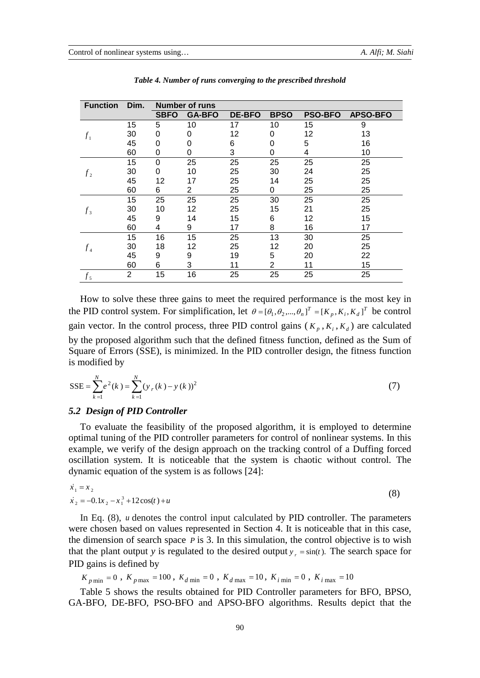| <b>Function</b> | Dim.           | <b>Number of runs</b> |                |               |                |                |                 |
|-----------------|----------------|-----------------------|----------------|---------------|----------------|----------------|-----------------|
|                 |                | <b>SBFO</b>           | <b>GA-BFO</b>  | <b>DE-BFO</b> | <b>BPSO</b>    | <b>PSO-BFO</b> | <b>APSO-BFO</b> |
|                 | 15             | 5                     | 10             | 17            | 10             | 15             | 9               |
| f <sub>1</sub>  | 30             | 0                     | 0              | 12            | 0              | 12             | 13              |
|                 | 45             | 0                     | 0              | 6             | 0              | 5              | 16              |
|                 | 60             | 0                     | 0              | 3             | 0              | 4              | 10              |
|                 | 15             | $\Omega$              | 25             | 25            | 25             | 25             | 25              |
| f <sub>2</sub>  | 30             | 0                     | 10             | 25            | 30             | 24             | 25              |
|                 | 45             | 12                    | 17             | 25            | 14             | 25             | 25              |
|                 | 60             | 6                     | $\overline{2}$ | 25            | 0              | 25             | 25              |
|                 | 15             | 25                    | 25             | 25            | 30             | 25             | 25              |
| $f_3$           | 30             | 10                    | 12             | 25            | 15             | 21             | 25              |
|                 | 45             | 9                     | 14             | 15            | 6              | 12             | 15              |
|                 | 60             | 4                     | 9              | 17            | 8              | 16             | 17              |
|                 | 15             | 16                    | 15             | 25            | 13             | 30             | 25              |
| $f_4$           | 30             | 18                    | 12             | 25            | 12             | 20             | 25              |
|                 | 45             | 9                     | 9              | 19            | 5              | 20             | 22              |
|                 | 60             | 6                     | 3              | 11            | $\overline{2}$ | 11             | 15              |
| $f_5$           | $\overline{2}$ | 15                    | 16             | 25            | 25             | 25             | 25              |

*Table 4. Number of runs converging to the prescribed threshold*

How to solve these three gains to meet the required performance is the most key in the PID control system. For simplification, let  $\theta = [\theta_1, \theta_2, ..., \theta_n]^T = [K_p, K_i, K_d]^T$  be control gain vector. In the control process, three PID control gains ( $K_p$ ,  $K_i$ ,  $K_d$ ) are calculated by the proposed algorithm such that the defined fitness function, defined as the Sum of Square of Errors (SSE), is minimized. In the PID controller design, the fitness function is modified by

$$
SSE = \sum_{k=1}^{N} e^{2}(k) = \sum_{k=1}^{N} (y_{r}(k) - y(k))^{2}
$$
 (7)

## *5.2 Design of PID Controller*

To evaluate the feasibility of the proposed algorithm, it is employed to determine optimal tuning of the PID controller parameters for control of nonlinear systems. In this example, we verify of the design approach on the tracking control of a Duffing forced oscillation system. It is noticeable that the system is chaotic without control. The dynamic equation of the system is as follows [24]:

$$
\dot{x}_1 = x_2
$$
  
\n
$$
\dot{x}_2 = -0.1x_2 - x_1^3 + 12\cos(t) + u
$$
\n(8)

In Eq. (8), *u* denotes the control input calculated by PID controller. The parameters were chosen based on values represented in Section 4. It is noticeable that in this case, the dimension of search space *P* is 3. In this simulation, the control objective is to wish that the plant output *y* is regulated to the desired output  $y_r = \sin(t)$ . The search space for PID gains is defined by

$$
K_{p \text{min}} = 0
$$
,  $K_{p \text{max}} = 100$ ,  $K_{d \text{min}} = 0$ ,  $K_{d \text{max}} = 10$ ,  $K_{i \text{min}} = 0$ ,  $K_{i \text{max}} = 10$ 

Table 5 shows the results obtained for PID Controller parameters for BFO, BPSO, GA-BFO, DE-BFO, PSO-BFO and APSO-BFO algorithms. Results depict that the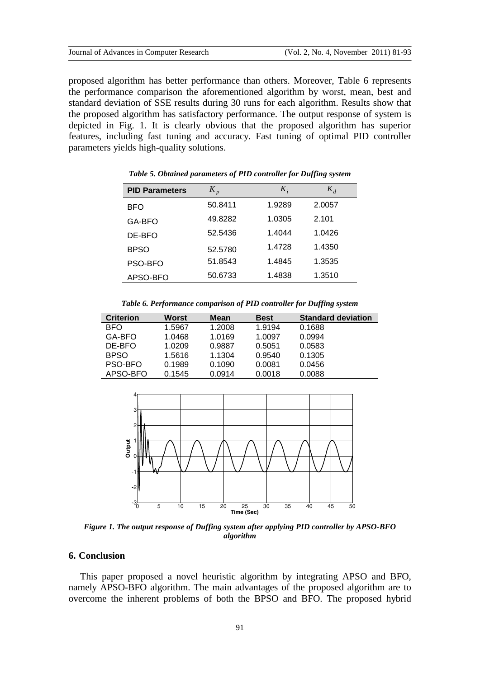proposed algorithm has better performance than others. Moreover, Table 6 represents the performance comparison the aforementioned algorithm by worst, mean, best and standard deviation of SSE results during 30 runs for each algorithm. Results show that the proposed algorithm has satisfactory performance. The output response of system is depicted in Fig. 1. It is clearly obvious that the proposed algorithm has superior features, including fast tuning and accuracy. Fast tuning of optimal PID controller parameters yields high-quality solutions.

| <b>PID Parameters</b> | $K_p$   | $K_i$  | $K_d$  |
|-----------------------|---------|--------|--------|
| BFO                   | 50.8411 | 1.9289 | 2.0057 |
| GA-BFO                | 49.8282 | 1.0305 | 2.101  |
| DE-BFO                | 52.5436 | 1.4044 | 1.0426 |
| <b>BPSO</b>           | 52.5780 | 1.4728 | 1.4350 |
| PSO-BFO               | 51.8543 | 1.4845 | 1.3535 |
| APSO-BFO              | 50.6733 | 1.4838 | 1.3510 |

*Table 5. Obtained parameters of PID controller for Duffing system*

*Table 6. Performance comparison of PID controller for Duffing system*

| <b>Criterion</b> | Worst  | <b>Mean</b> | <b>Best</b> | <b>Standard deviation</b> |
|------------------|--------|-------------|-------------|---------------------------|
| <b>BFO</b>       | 1.5967 | 1.2008      | 1.9194      | 0.1688                    |
| GA-BFO           | 1.0468 | 1.0169      | 1.0097      | 0.0994                    |
| DE-BFO           | 1.0209 | 0.9887      | 0.5051      | 0.0583                    |
| <b>BPSO</b>      | 1.5616 | 1.1304      | 0.9540      | 0.1305                    |
| PSO-BFO          | 0.1989 | 0.1090      | 0.0081      | 0.0456                    |
| APSO-BFO         | 0.1545 | 0.0914      | 0.0018      | 0.0088                    |



*Figure 1. The output response of Duffing system after applying PID controller by APSO-BFO algorithm*

## **6. Conclusion**

This paper proposed a novel heuristic algorithm by integrating APSO and BFO, namely APSO-BFO algorithm. The main advantages of the proposed algorithm are to overcome the inherent problems of both the BPSO and BFO. The proposed hybrid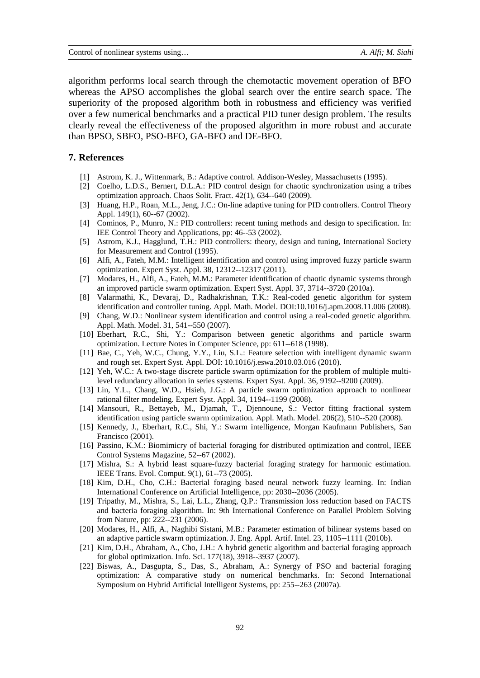algorithm performs local search through the chemotactic movement operation of BFO whereas the APSO accomplishes the global search over the entire search space. The superiority of the proposed algorithm both in robustness and efficiency was verified over a few numerical benchmarks and a practical PID tuner design problem. The results clearly reveal the effectiveness of the proposed algorithm in more robust and accurate than BPSO, SBFO, PSO-BFO, GA-BFO and DE-BFO.

#### **7. References**

- [1] Astrom, K. J., Wittenmark, B.: Adaptive control. Addison-Wesley, Massachusetts (1995).
- [2] Coelho, L.D.S., Bernert, D.L.A.: PID control design for chaotic synchronization using a tribes optimization approach. Chaos Solit. Fract. 42(1), 634--640 (2009).
- [3] Huang, H.P., Roan, M.L., Jeng, J.C.: On-line adaptive tuning for PID controllers. Control Theory Appl. 149(1), 60--67 (2002).
- [4] Cominos, P., Munro, N.: PID controllers: recent tuning methods and design to specification. In: IEE Control Theory and Applications, pp: 46--53 (2002).
- [5] Astrom, K.J., Hagglund, T.H.: PID controllers: theory, design and tuning, International Society for Measurement and Control (1995).
- [6] Alfi, A., Fateh, M.M.: Intelligent identification and control using improved fuzzy particle swarm optimization. Expert Syst. Appl. 38, 12312--12317 (2011).
- [7] Modares, H., Alfi, A., Fateh, M.M.: Parameter identification of chaotic dynamic systems through an improved particle swarm optimization. Expert Syst. Appl. 37, 3714--3720 (2010a).
- [8] Valarmathi, K., Devaraj, D., Radhakrishnan, T.K.: [Real-coded genetic algorithm for system](http://www.sciencedirect.com/science?_ob=ArticleURL&_udi=B6TYC-4TXF83S-1&_user=3265927&_coverDate=11%2F14%2F2008&_alid=863515741&_rdoc=8&_fmt=high&_orig=search&_cdi=5615&_sort=d&_st=4&_docanchor=&_ct=30&_acct=C000060139&_version=1&_urlVersion=0&_userid=3265927&md5=c2e6ca66d5c5f959a630422f6d97de45)  [identification and controller tuning.](http://www.sciencedirect.com/science?_ob=ArticleURL&_udi=B6TYC-4TXF83S-1&_user=3265927&_coverDate=11%2F14%2F2008&_alid=863515741&_rdoc=8&_fmt=high&_orig=search&_cdi=5615&_sort=d&_st=4&_docanchor=&_ct=30&_acct=C000060139&_version=1&_urlVersion=0&_userid=3265927&md5=c2e6ca66d5c5f959a630422f6d97de45) Appl. Math. Model. DO[I:10.1016/j.apm.2008.11.006](http://dx.doi.org/10.1016/j.apm.2008.11.006) (2008).
- [9] Chang, W.D.: Nonlinear system identification and control using a real-coded genetic algorithm. Appl. Math. Model. 31, 541--550 (2007).
- [10] Eberhart, R.C., Shi, Y.: Comparison between genetic algorithms and particle swarm optimization. Lecture Notes in Computer Science, pp: 611--618 (1998).
- [11] Bae, C., Yeh, W.C., Chung, Y.Y., Liu, S.L.: Feature selection with intelligent dynamic swarm and rough set. Expert Syst. Appl. DOI: [10.1016/j.eswa.2010.03.016](http://dx.doi.org/10.1016/j.eswa.2010.03.016) (2010).
- [12] Yeh, W.C.: A two-stage discrete particle swarm optimization for the problem of multiple multilevel redundancy allocation in series systems. Expert Syst. Appl. 36, 9192--9200 (2009).
- [13] Lin, Y.L., Chang, W.D., Hsieh, J.G.: A particle swarm optimization approach to nonlinear rational filter modeling. Expert Syst. Appl. 34, 1194--1199 (2008).
- [14] Mansouri, R., Bettayeb, M., Djamah, T., Djennoune, S.: [Vector fitting fractional system](http://www.sciencedirect.com/science?_ob=ArticleURL&_udi=B6TY8-4SSG4RC-1&_user=3265927&_coverDate=12%2F15%2F2008&_alid=863517284&_rdoc=6&_fmt=high&_orig=search&_cdi=5612&_sort=d&_st=4&_docanchor=&_ct=12&_acct=C000060139&_version=1&_urlVersion=0&_userid=3265927&md5=325e23fae6d4f87124b9a0626b7449a8)  [identification using particle swarm optimization.](http://www.sciencedirect.com/science?_ob=ArticleURL&_udi=B6TY8-4SSG4RC-1&_user=3265927&_coverDate=12%2F15%2F2008&_alid=863517284&_rdoc=6&_fmt=high&_orig=search&_cdi=5612&_sort=d&_st=4&_docanchor=&_ct=12&_acct=C000060139&_version=1&_urlVersion=0&_userid=3265927&md5=325e23fae6d4f87124b9a0626b7449a8) Appl. Math. Model. 206(2), 510--520 (2008).
- [15] Kennedy, J., Eberhart, R.C., Shi, Y.: Swarm intelligence, Morgan Kaufmann Publishers, San Francisco (2001).
- [16] Passino, K.M.: Biomimicry of bacterial foraging for distributed optimization and control, IEEE Control Systems Magazine, 52--67 (2002).
- [17] Mishra, S.: A hybrid least square-fuzzy bacterial foraging strategy for harmonic estimation. IEEE Trans. Evol. Comput. 9(1), 61--73 (2005).
- [18] Kim, D.H., Cho, C.H.: Bacterial foraging based neural network fuzzy learning. In: Indian International Conference on Artificial Intelligence, pp: 2030--2036 (2005).
- [19] Tripathy, M., Mishra, S., Lai, L.L., Zhang, Q.P.: Transmission loss reduction based on FACTS and bacteria foraging algorithm. In: 9th International Conference on Parallel Problem Solving from Nature, pp: 222--231 (2006).
- [20] Modares, H., Alfi, A., Naghibi Sistani, M.B.: Parameter estimation of bilinear systems based on an adaptive particle swarm optimization. J. Eng. Appl. Artif. Intel. 23, 1105--1111 (2010b).
- [21] Kim, D.H., Abraham, A., Cho, J.H.: A hybrid genetic algorithm and bacterial foraging approach for global optimization. Info. Sci. 177(18), 3918--3937 (2007).
- [22] Biswas, A., Dasgupta, S., Das, S., Abraham, A.: Synergy of PSO and bacterial foraging optimization: A comparative study on numerical benchmarks. In: Second International Symposium on Hybrid Artificial Intelligent Systems, pp: 255--263 (2007a).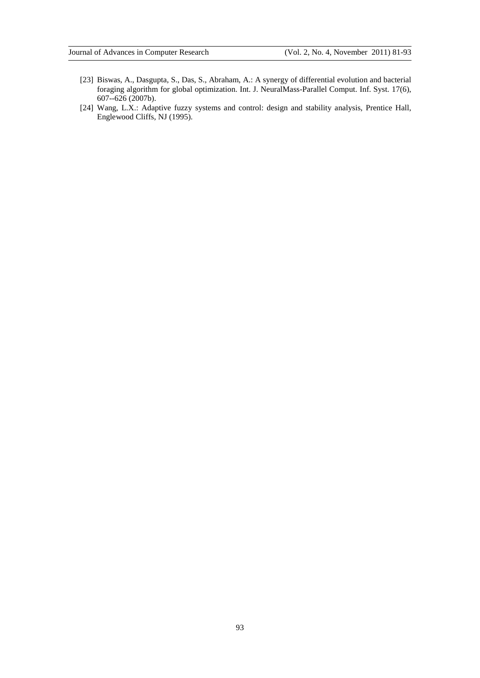- [23] Biswas, A., Dasgupta, S., Das, S., Abraham, A.: A synergy of differential evolution and bacterial foraging algorithm for global optimization. Int. J. NeuralMass-Parallel Comput. Inf. Syst. 17(6), 607--626 (2007b).
- [24] Wang, L.X.: Adaptive fuzzy systems and control: design and stability analysis, Prentice Hall, Englewood Cliffs, NJ (1995).